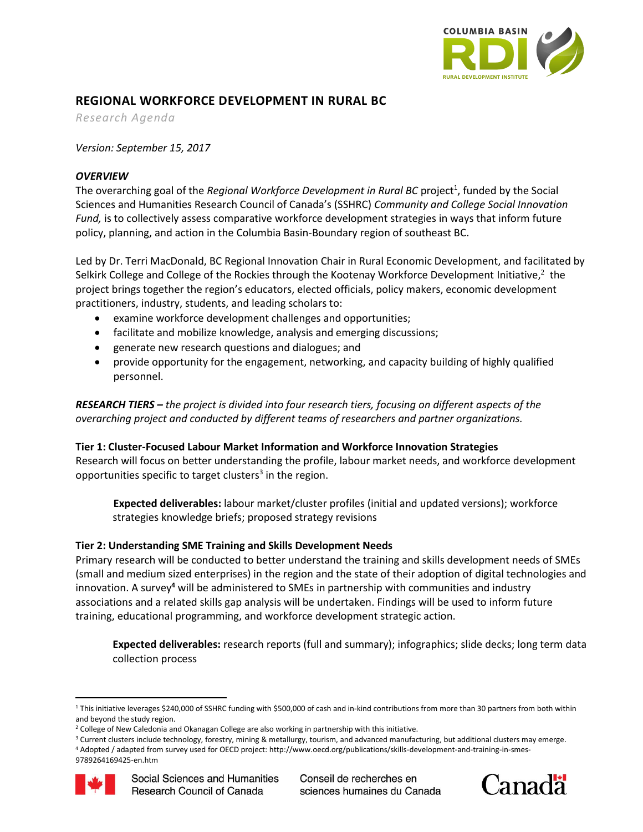

# **REGIONAL WORKFORCE DEVELOPMENT IN RURAL BC**

*Research Agenda*

*Version: September 15, 2017*

## *OVERVIEW*

The overarching goal of the *Regional Workforce Development in Rural BC* project<sup>1</sup>, funded by the Social Sciences and Humanities Research Council of Canada's (SSHRC) *Community and College Social Innovation Fund,* is to collectively assess comparative workforce development strategies in ways that inform future policy, planning, and action in the Columbia Basin-Boundary region of southeast BC.

Led by Dr. Terri MacDonald, BC Regional Innovation Chair in Rural Economic Development, and facilitated by Selkirk College and College of the Rockies through the Kootenay Workforce Development Initiative, $^2$  the project brings together the region's educators, elected officials, policy makers, economic development practitioners, industry, students, and leading scholars to:

- examine workforce development challenges and opportunities;
- facilitate and mobilize knowledge, analysis and emerging discussions;
- generate new research questions and dialogues; and
- provide opportunity for the engagement, networking, and capacity building of highly qualified personnel.

*RESEARCH TIERS – the project is divided into four research tiers, focusing on different aspects of the overarching project and conducted by different teams of researchers and partner organizations.*

## **Tier 1: Cluster-Focused Labour Market Information and Workforce Innovation Strategies**

Research will focus on better understanding the profile, labour market needs, and workforce development opportunities specific to target clusters<sup>3</sup> in the region.

**Expected deliverables:** labour market/cluster profiles (initial and updated versions); workforce strategies knowledge briefs; proposed strategy revisions

#### **Tier 2: Understanding SME Training and Skills Development Needs**

Primary research will be conducted to better understand the training and skills development needs of SMEs (small and medium sized enterprises) in the region and the state of their adoption of digital technologies and innovation. A survey**<sup>4</sup>** will be administered to SMEs in partnership with communities and industry associations and a related skills gap analysis will be undertaken. Findings will be used to inform future training, educational programming, and workforce development strategic action.

**Expected deliverables:** research reports (full and summary); infographics; slide decks; long term data collection process

<sup>4</sup> Adopted / adapted from survey used for OECD project: http://www.oecd.org/publications/skills-development-and-training-in-smes-

<sup>9789264169425-</sup>en.htm





 $\overline{\phantom{a}}$ <sup>1</sup> This initiative leverages \$240,000 of SSHRC funding with \$500,000 of cash and in-kind contributions from more than 30 partners from both within and beyond the study region.

<sup>&</sup>lt;sup>2</sup> College of New Caledonia and Okanagan College are also working in partnership with this initiative.

<sup>&</sup>lt;sup>3</sup> Current clusters include technology, forestry, mining & metallurgy, tourism, and advanced manufacturing, but additional clusters may emerge.